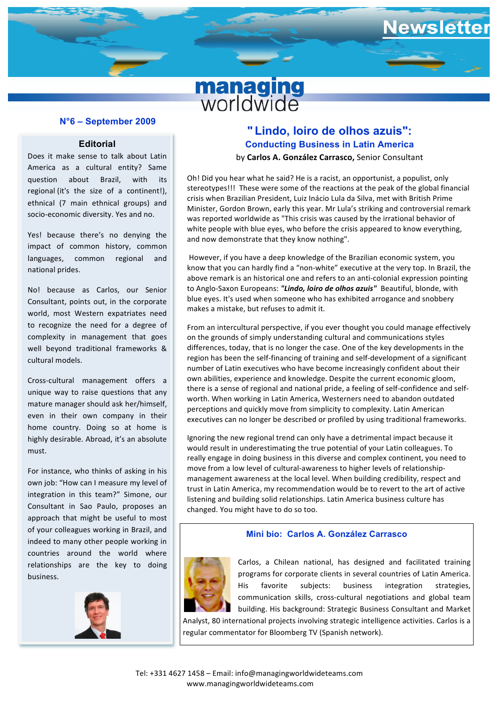

#### **N°6 – September 2009**

### **Editorial**

Does it make sense to talk about Latin America as a cultural entity? Same question about Brazil, with its regional (it's the size of a continent!), ethnical (7 main ethnical groups) and socio-economic diversity. Yes and no.

languages, common regional and Yes! because there's no denying the impact of common history, common national prides.

No! because as Carlos, our Senior Consultant, points out, in the corporate world, most Western expatriates need to recognize the need for a degree of complexity in management that goes well beyond traditional frameworks & cultural models.

Cross-cultural management offers a unique way to raise questions that any mature manager should ask her/himself, even in their own company in their home country. Doing so at home is highly desirable. Abroad, it's an absolute must.

For instance, who thinks of asking in his own job: "How can I measure my level of integration in this team?" Simone, our Consultant in Sao Paulo, proposes an approach that might be useful to most of your colleagues working in Brazil, and indeed to many other people working in countries around the world where relationships are the key to doing business.



# **" Lindo, loiro de olhos azuis": Conducting Business in Latin America** by **Carlos A. González Carrasco,** Senior Consultant

ewsletter

*a* crisis when Brazilian President, Luiz Inácio Lula da Silva, met with British Prime Oh! Did you hear what he said? He is a racist, an opportunist, a populist, only stereotypes!!! These were some of the reactions at the peak of the global financial Minister, Gordon Brown, early this year. Mr Lula's striking and controversial remark was reported worldwide as "This crisis was caused by the irrational behavior of white people with blue eyes, who before the crisis appeared to know everything, and now demonstrate that they know nothing".

However, if you have a deep knowledge of the Brazilian economic system, you know that you can hardly find a "non-white" executive at the very top. In Brazil, the above remark is an historical one and refers to an anti-colonial expression pointing to Anglo-Saxon Europeans: "Lindo, loiro de olhos azuis" Beautiful, blonde, with blue eyes. It's used when someone who has exhibited arrogance and snobbery makes a mistake, but refuses to admit it.

From an intercultural perspective, if you ever thought you could manage effectively on the grounds of simply understanding cultural and communications styles differences, today, that is no longer the case. One of the key developments in the region has been the self-financing of training and self-development of a significant number of Latin executives who have become increasingly confident about their own abilities, experience and knowledge. Despite the current economic gloom, there is a sense of regional and national pride, a feeling of self-confidence and selfworth. When working in Latin America. Westerners need to abandon outdated perceptions and quickly move from simplicity to complexity. Latin American executives can no longer be described or profiled by using traditional frameworks.

Ignoring the new regional trend can only have a detrimental impact because it would result in underestimating the true potential of your Latin colleagues. To really engage in doing business in this diverse and complex continent, you need to move from a low level of cultural-awareness to higher levels of relationshipmanagement awareness at the local level. When building credibility, respect and trust in Latin America, my recommendation would be to revert to the art of active listening and building solid relationships. Latin America business culture has changed. You might have to do so too.

#### **Mini bio: Carlos A. González Carrasco**



Carlos, a Chilean national, has designed and facilitated training programs for corporate clients in several countries of Latin America. His favorite subjects: business integration strategies, communication skills, cross-cultural negotiations and global team building. His background: Strategic Business Consultant and Market

Analyst, 80 international projects involving strategic intelligence activities. Carlos is a regular commentator for Bloomberg TV (Spanish network).